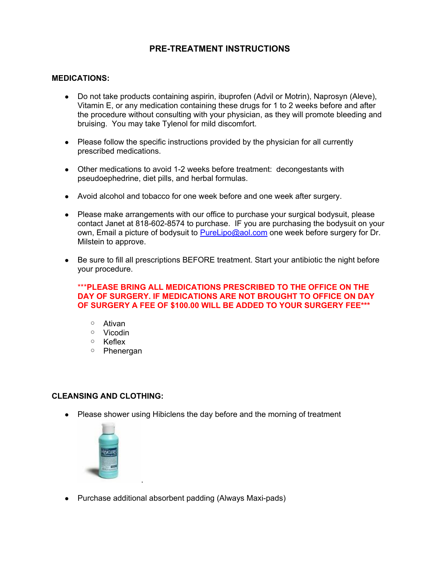# **PRE-TREATMENT INSTRUCTIONS**

#### **MEDICATIONS:**

- Do not take products containing aspirin, ibuprofen (Advil or Motrin), Naprosyn (Aleve), Vitamin E, or any medication containing these drugs for 1 to 2 weeks before and after the procedure without consulting with your physician, as they will promote bleeding and bruising. You may take Tylenol for mild discomfort.
- Please follow the specific instructions provided by the physician for all currently prescribed medications.
- Other medications to avoid 1-2 weeks before treatment: decongestants with pseudoephedrine, diet pills, and herbal formulas.
- Avoid alcohol and tobacco for one week before and one week after surgery.
- Please make arrangements with our office to purchase your surgical bodysuit, please contact Janet at 818-602-8574 to purchase. IF you are purchasing the bodysuit on your own, Email a picture of bodysuit to [PureLipo@aol.com](mailto:PureLipo@aol.com) one week before surgery for Dr. Milstein to approve.
- Be sure to fill all prescriptions BEFORE treatment. Start your antibiotic the night before your procedure.

#### \*\*\***PLEASE BRING ALL MEDICATIONS PRESCRIBED TO THE OFFICE ON THE DAY OF SURGERY. IF MEDICATIONS ARE NOT BROUGHT TO OFFICE ON DAY OF SURGERY A FEE OF \$100.00 WILL BE ADDED TO YOUR SURGERY FEE\*\*\***

- Ativan
- Vicodin
- Keflex
- Phenergan

#### **CLEANSING AND CLOTHING:**

• Please shower using Hibiclens the day before and the morning of treatment



● Purchase additional absorbent padding (Always Maxi-pads)

.